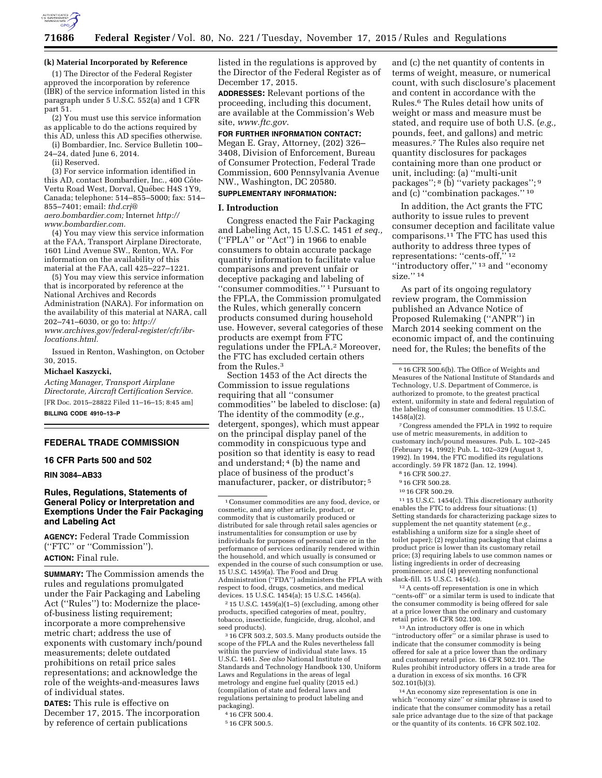

### **(k) Material Incorporated by Reference**

(1) The Director of the Federal Register approved the incorporation by reference (IBR) of the service information listed in this paragraph under 5 U.S.C. 552(a) and 1 CFR part 51.

(2) You must use this service information as applicable to do the actions required by this AD, unless this AD specifies otherwise.

(i) Bombardier, Inc. Service Bulletin 100– 24–24, dated June 6, 2014.

(ii) Reserved.

(3) For service information identified in this AD, contact Bombardier, Inc., 400 Côte-Vertu Road West, Dorval, Québec H4S 1Y9, Canada; telephone: 514–855–5000; fax: 514– 855–7401; email: *[thd.crj@](mailto:thd.crj@aero.bombardier.com) [aero.bombardier.com;](mailto:thd.crj@aero.bombardier.com)* Internet *[http://](http://www.bombardier.com) [www.bombardier.com.](http://www.bombardier.com)* 

(4) You may view this service information at the FAA, Transport Airplane Directorate, 1601 Lind Avenue SW., Renton, WA. For information on the availability of this material at the FAA, call 425–227–1221.

(5) You may view this service information that is incorporated by reference at the National Archives and Records Administration (NARA). For information on the availability of this material at NARA, call 202–741–6030, or go to: *[http://](http://www.archives.gov/federal-register/cfr/ibr-locations.html) [www.archives.gov/federal-register/cfr/ibr](http://www.archives.gov/federal-register/cfr/ibr-locations.html)[locations.html.](http://www.archives.gov/federal-register/cfr/ibr-locations.html)* 

Issued in Renton, Washington, on October 30, 2015.

#### **Michael Kaszycki,**

*Acting Manager, Transport Airplane Directorate, Aircraft Certification Service.*  [FR Doc. 2015–28822 Filed 11–16–15; 8:45 am]

**BILLING CODE 4910–13–P** 

## **FEDERAL TRADE COMMISSION**

**16 CFR Parts 500 and 502** 

## **RIN 3084–AB33**

# **Rules, Regulations, Statements of General Policy or Interpretation and Exemptions Under the Fair Packaging and Labeling Act**

**AGENCY:** Federal Trade Commission (''FTC'' or ''Commission''). **ACTION:** Final rule.

**SUMMARY:** The Commission amends the rules and regulations promulgated under the Fair Packaging and Labeling Act (''Rules'') to: Modernize the placeof-business listing requirement; incorporate a more comprehensive metric chart; address the use of exponents with customary inch/pound measurements; delete outdated prohibitions on retail price sales representations; and acknowledge the role of the weights-and-measures laws of individual states.

**DATES:** This rule is effective on December 17, 2015. The incorporation by reference of certain publications

listed in the regulations is approved by the Director of the Federal Register as of December 17, 2015.

**ADDRESSES:** Relevant portions of the proceeding, including this document, are available at the Commission's Web site, *[www.ftc.gov](http://www.ftc.gov)*.

#### **FOR FURTHER INFORMATION CONTACT:**

Megan E. Gray, Attorney, (202) 326– 3408, Division of Enforcement, Bureau of Consumer Protection, Federal Trade Commission, 600 Pennsylvania Avenue NW., Washington, DC 20580.

# **SUPPLEMENTARY INFORMATION:**

### **I. Introduction**

Congress enacted the Fair Packaging and Labeling Act, 15 U.S.C. 1451 *et seq.,*  (''FPLA'' or ''Act'') in 1966 to enable consumers to obtain accurate package quantity information to facilitate value comparisons and prevent unfair or deceptive packaging and labeling of ''consumer commodities.'' 1 Pursuant to the FPLA, the Commission promulgated the Rules, which generally concern products consumed during household use. However, several categories of these products are exempt from FTC regulations under the FPLA.2 Moreover, the FTC has excluded certain others from the Rules.3

Section 1453 of the Act directs the Commission to issue regulations requiring that all ''consumer commodities'' be labeled to disclose: (a) The identity of the commodity (*e.g.,*  detergent, sponges), which must appear on the principal display panel of the commodity in conspicuous type and position so that identity is easy to read and understand; 4 (b) the name and place of business of the product's manufacturer, packer, or distributor; 5

 $2$  15 U.S.C. 1459(a)(1-5) (excluding, among other products, specified categories of meat, poultry, tobacco, insecticide, fungicide, drug, alcohol, and seed products).

3 16 CFR 503.2, 503.5. Many products outside the scope of the FPLA and the Rules nevertheless fall within the purview of individual state laws. 15 U.S.C. 1461. *See also* National Institute of Standards and Technology Handbook 130, Uniform Laws and Regulations in the areas of legal metrology and engine fuel quality (2015 ed.) (compilation of state and federal laws and regulations pertaining to product labeling and packaging).

and (c) the net quantity of contents in terms of weight, measure, or numerical count, with such disclosure's placement and content in accordance with the Rules.6 The Rules detail how units of weight or mass and measure must be stated, and require use of both U.S. (*e.g.,*  pounds, feet, and gallons) and metric measures.7 The Rules also require net quantity disclosures for packages containing more than one product or unit, including: (a) ''multi-unit packages''; 8 (b) ''variety packages''; 9 and (c) ''combination packages.'' 10

In addition, the Act grants the FTC authority to issue rules to prevent consumer deception and facilitate value comparisons.11 The FTC has used this authority to address three types of representations: ''cents-off,'' 12 ''introductory offer,'' 13 and ''economy size."<sup>14</sup>

As part of its ongoing regulatory review program, the Commission published an Advance Notice of Proposed Rulemaking (''ANPR'') in March 2014 seeking comment on the economic impact of, and the continuing need for, the Rules; the benefits of the

7Congress amended the FPLA in 1992 to require use of metric measurements, in addition to customary inch/pound measures. Pub. L. 102–245 (February 14, 1992); Pub. L. 102–329 (August 3, 1992). In 1994, the FTC modified its regulations accordingly. 59 FR 1872 (Jan. 12, 1994).

- 9 16 CFR 500.28.
- 10 16 CFR 500.29.

11 15 U.S.C. 1454(c). This discretionary authority enables the FTC to address four situations: (1) Setting standards for characterizing package sizes to supplement the net quantity statement (*e.g.,*  establishing a uniform size for a single sheet of toilet paper); (2) regulating packaging that claims a product price is lower than its customary retail price; (3) requiring labels to use common names or listing ingredients in order of decreasing prominence; and (4) preventing nonfunctional slack-fill. 15 U.S.C. 1454(c).

12A cents-off representation is one in which "cents-off" or a similar term is used to indicate that the consumer commodity is being offered for sale at a price lower than the ordinary and customary retail price. 16 CFR 502.100.

13An introductory offer is one in which ''introductory offer'' or a similar phrase is used to indicate that the consumer commodity is being offered for sale at a price lower than the ordinary and customary retail price. 16 CFR 502.101. The Rules prohibit introductory offers in a trade area for a duration in excess of six months. 16 CFR 502.101(b)(3).

14An economy size representation is one in which ''economy size'' or similar phrase is used to indicate that the consumer commodity has a retail sale price advantage due to the size of that package or the quantity of its contents. 16 CFR 502.102.

<sup>1</sup>Consumer commodities are any food, device, or cosmetic, and any other article, product, or commodity that is customarily produced or distributed for sale through retail sales agencies or instrumentalities for consumption or use by individuals for purposes of personal care or in the performance of services ordinarily rendered within the household, and which usually is consumed or expended in the course of such consumption or use. 15 U.S.C. 1459(a). The Food and Drug Administration (''FDA'') administers the FPLA with respect to food, drugs, cosmetics, and medical devices. 15 U.S.C. 1454(a); 15 U.S.C. 1456(a).

<sup>4</sup> 16 CFR 500.4.

<sup>5</sup> 16 CFR 500.5.

<sup>6</sup> 16 CFR 500.6(b). The Office of Weights and Measures of the National Institute of Standards and Technology, U.S. Department of Commerce, is authorized to promote, to the greatest practical extent, uniformity in state and federal regulation of the labeling of consumer commodities. 15 U.S.C. 1458(a)(2).

<sup>8</sup> 16 CFR 500.27.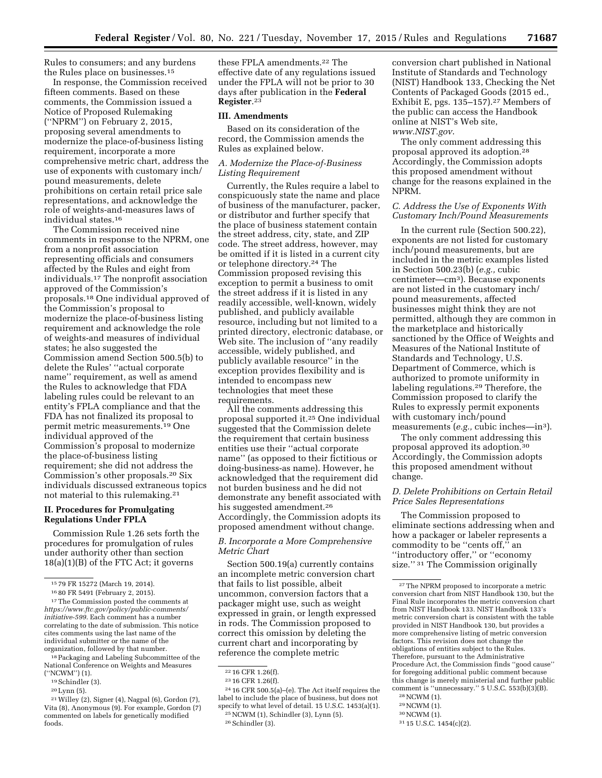Rules to consumers; and any burdens the Rules place on businesses.15

In response, the Commission received fifteen comments. Based on these comments, the Commission issued a Notice of Proposed Rulemaking (''NPRM'') on February 2, 2015, proposing several amendments to modernize the place-of-business listing requirement, incorporate a more comprehensive metric chart, address the use of exponents with customary inch/ pound measurements, delete prohibitions on certain retail price sale representations, and acknowledge the role of weights-and-measures laws of individual states.16

The Commission received nine comments in response to the NPRM, one from a nonprofit association representing officials and consumers affected by the Rules and eight from individuals.17 The nonprofit association approved of the Commission's proposals.18 One individual approved of the Commission's proposal to modernize the place-of-business listing requirement and acknowledge the role of weights-and measures of individual states; he also suggested the Commission amend Section 500.5(b) to delete the Rules' ''actual corporate name'' requirement, as well as amend the Rules to acknowledge that FDA labeling rules could be relevant to an entity's FPLA compliance and that the FDA has not finalized its proposal to permit metric measurements.19 One individual approved of the Commission's proposal to modernize the place-of-business listing requirement; she did not address the Commission's other proposals.20 Six individuals discussed extraneous topics not material to this rulemaking.21

#### **II. Procedures for Promulgating Regulations Under FPLA**

Commission Rule 1.26 sets forth the procedures for promulgation of rules under authority other than section 18(a)(1)(B) of the FTC Act; it governs

<sup>18</sup> Packaging and Labeling Subcommittee of the National Conference on Weights and Measures (''NCWM'') (1).

20Lynn (5).

these FPLA amendments.22 The effective date of any regulations issued under the FPLA will not be prior to 30 days after publication in the **Federal Register**.23

### **III. Amendments**

Based on its consideration of the record, the Commission amends the Rules as explained below.

## *A. Modernize the Place-of-Business Listing Requirement*

Currently, the Rules require a label to conspicuously state the name and place of business of the manufacturer, packer, or distributor and further specify that the place of business statement contain the street address, city, state, and ZIP code. The street address, however, may be omitted if it is listed in a current city or telephone directory.24 The Commission proposed revising this exception to permit a business to omit the street address if it is listed in any readily accessible, well-known, widely published, and publicly available resource, including but not limited to a printed directory, electronic database, or Web site. The inclusion of ''any readily accessible, widely published, and publicly available resource'' in the exception provides flexibility and is intended to encompass new technologies that meet these requirements.

All the comments addressing this proposal supported it.25 One individual suggested that the Commission delete the requirement that certain business entities use their ''actual corporate name'' (as opposed to their fictitious or doing-business-as name). However, he acknowledged that the requirement did not burden business and he did not demonstrate any benefit associated with his suggested amendment.<sup>26</sup> Accordingly, the Commission adopts its proposed amendment without change.

## *B. Incorporate a More Comprehensive Metric Chart*

Section 500.19(a) currently contains an incomplete metric conversion chart that fails to list possible, albeit uncommon, conversion factors that a packager might use, such as weight expressed in grain, or length expressed in rods. The Commission proposed to correct this omission by deleting the current chart and incorporating by reference the complete metric

conversion chart published in National Institute of Standards and Technology (NIST) Handbook 133, Checking the Net Contents of Packaged Goods (2015 ed., Exhibit E, pgs. 135–157).27 Members of the public can access the Handbook online at NIST's Web site, *[www.NIST.gov](http://www.NIST.gov)*.

The only comment addressing this proposal approved its adoption.28 Accordingly, the Commission adopts this proposed amendment without change for the reasons explained in the NPRM.

### *C. Address the Use of Exponents With Customary Inch/Pound Measurements*

In the current rule (Section 500.22), exponents are not listed for customary inch/pound measurements, but are included in the metric examples listed in Section 500.23(b) (*e.g.,* cubic centimeter—cm3). Because exponents are not listed in the customary inch/ pound measurements, affected businesses might think they are not permitted, although they are common in the marketplace and historically sanctioned by the Office of Weights and Measures of the National Institute of Standards and Technology, U.S. Department of Commerce, which is authorized to promote uniformity in labeling regulations.29 Therefore, the Commission proposed to clarify the Rules to expressly permit exponents with customary inch/pound measurements (*e.g.,* cubic inches—in3).

The only comment addressing this proposal approved its adoption.30 Accordingly, the Commission adopts this proposed amendment without change.

## *D. Delete Prohibitions on Certain Retail Price Sales Representations*

The Commission proposed to eliminate sections addressing when and how a packager or labeler represents a commodity to be "cents off," an ''introductory offer,'' or ''economy size."<sup>31</sup> The Commission originally

- 29NCWM (1).
- 30NCWM (1).

<sup>15</sup> 79 FR 15272 (March 19, 2014).

<sup>16</sup> 80 FR 5491 (February 2, 2015).

<sup>17</sup>The Commission posted the comments at *[https://www.ftc.gov/policy/public-comments/](https://www.ftc.gov/policy/public-comments/initiative-599) [initiative-599](https://www.ftc.gov/policy/public-comments/initiative-599)*. Each comment has a number correlating to the date of submission. This notice cites comments using the last name of the individual submitter or the name of the organization, followed by that number.

<sup>19</sup>Schindler (3).

<sup>21</sup>Willey (2), Signer (4), Nagpal (6), Gordon (7), Vita (8), Anonymous (9). For example, Gordon (7) commented on labels for genetically modified foods.

<sup>22</sup> 16 CFR 1.26(f).

<sup>23</sup> 16 CFR 1.26(f).

<sup>24</sup> 16 CFR 500.5(a)–(e). The Act itself requires the label to include the place of business, but does not specify to what level of detail. 15 U.S.C. 1453(a)(1).

<sup>25</sup>NCWM (1), Schindler (3), Lynn (5). 26Schindler (3).

<sup>27</sup>The NPRM proposed to incorporate a metric conversion chart from NIST Handbook 130, but the Final Rule incorporates the metric conversion chart from NIST Handbook 133. NIST Handbook 133's metric conversion chart is consistent with the table provided in NIST Handbook 130, but provides a more comprehensive listing of metric conversion factors. This revision does not change the obligations of entities subject to the Rules. Therefore, pursuant to the Administrative Procedure Act, the Commission finds ''good cause'' for foregoing additional public comment because this change is merely ministerial and further public comment is ''unnecessary.'' 5 U.S.C. 553(b)(3)(B).

<sup>28</sup>NCWM (1).

<sup>31</sup> 15 U.S.C. 1454(c)(2).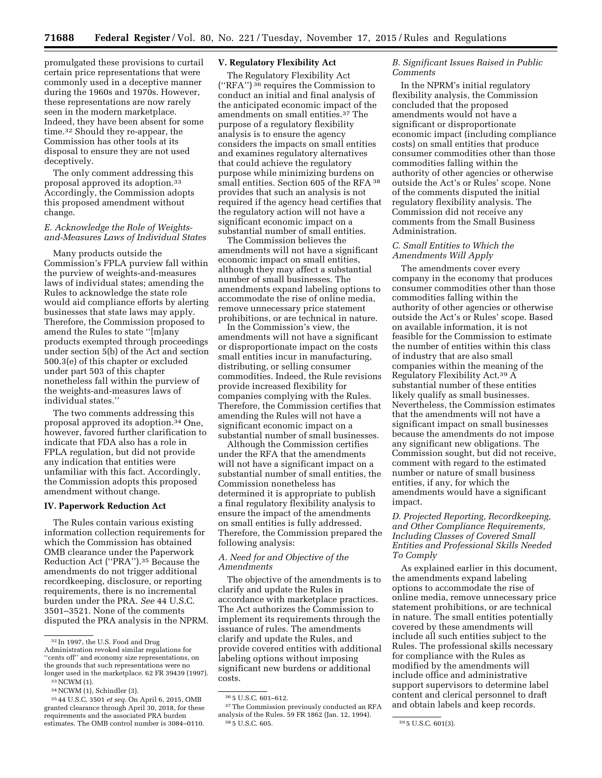promulgated these provisions to curtail certain price representations that were commonly used in a deceptive manner during the 1960s and 1970s. However, these representations are now rarely seen in the modern marketplace. Indeed, they have been absent for some time.32 Should they re-appear, the Commission has other tools at its disposal to ensure they are not used deceptively.

The only comment addressing this proposal approved its adoption.33 Accordingly, the Commission adopts this proposed amendment without change.

### *E. Acknowledge the Role of Weightsand-Measures Laws of Individual States*

Many products outside the Commission's FPLA purview fall within the purview of weights-and-measures laws of individual states; amending the Rules to acknowledge the state role would aid compliance efforts by alerting businesses that state laws may apply. Therefore, the Commission proposed to amend the Rules to state ''[m]any products exempted through proceedings under section 5(b) of the Act and section 500.3(e) of this chapter or excluded under part 503 of this chapter nonetheless fall within the purview of the weights-and-measures laws of individual states.''

The two comments addressing this proposal approved its adoption.34 One, however, favored further clarification to indicate that FDA also has a role in FPLA regulation, but did not provide any indication that entities were unfamiliar with this fact. Accordingly, the Commission adopts this proposed amendment without change.

### **IV. Paperwork Reduction Act**

The Rules contain various existing information collection requirements for which the Commission has obtained OMB clearance under the Paperwork Reduction Act (''PRA'').35 Because the amendments do not trigger additional recordkeeping, disclosure, or reporting requirements, there is no incremental burden under the PRA. *See* 44 U.S.C. 3501–3521. None of the comments disputed the PRA analysis in the NPRM.

# **V. Regulatory Flexibility Act**

The Regulatory Flexibility Act (''RFA'') 36 requires the Commission to conduct an initial and final analysis of the anticipated economic impact of the amendments on small entities.37 The purpose of a regulatory flexibility analysis is to ensure the agency considers the impacts on small entities and examines regulatory alternatives that could achieve the regulatory purpose while minimizing burdens on small entities. Section 605 of the RFA 38 provides that such an analysis is not required if the agency head certifies that the regulatory action will not have a significant economic impact on a substantial number of small entities.

The Commission believes the amendments will not have a significant economic impact on small entities, although they may affect a substantial number of small businesses. The amendments expand labeling options to accommodate the rise of online media, remove unnecessary price statement prohibitions, or are technical in nature.

In the Commission's view, the amendments will not have a significant or disproportionate impact on the costs small entities incur in manufacturing, distributing, or selling consumer commodities. Indeed, the Rule revisions provide increased flexibility for companies complying with the Rules. Therefore, the Commission certifies that amending the Rules will not have a significant economic impact on a substantial number of small businesses.

Although the Commission certifies under the RFA that the amendments will not have a significant impact on a substantial number of small entities, the Commission nonetheless has determined it is appropriate to publish a final regulatory flexibility analysis to ensure the impact of the amendments on small entities is fully addressed. Therefore, the Commission prepared the following analysis:

### *A. Need for and Objective of the Amendments*

The objective of the amendments is to clarify and update the Rules in accordance with marketplace practices. The Act authorizes the Commission to implement its requirements through the issuance of rules. The amendments clarify and update the Rules, and provide covered entities with additional labeling options without imposing significant new burdens or additional costs.

### *B. Significant Issues Raised in Public Comments*

In the NPRM's initial regulatory flexibility analysis, the Commission concluded that the proposed amendments would not have a significant or disproportionate economic impact (including compliance costs) on small entities that produce consumer commodities other than those commodities falling within the authority of other agencies or otherwise outside the Act's or Rules' scope. None of the comments disputed the initial regulatory flexibility analysis. The Commission did not receive any comments from the Small Business Administration.

#### *C. Small Entities to Which the Amendments Will Apply*

The amendments cover every company in the economy that produces consumer commodities other than those commodities falling within the authority of other agencies or otherwise outside the Act's or Rules' scope. Based on available information, it is not feasible for the Commission to estimate the number of entities within this class of industry that are also small companies within the meaning of the Regulatory Flexibility Act.39 A substantial number of these entities likely qualify as small businesses. Nevertheless, the Commission estimates that the amendments will not have a significant impact on small businesses because the amendments do not impose any significant new obligations. The Commission sought, but did not receive, comment with regard to the estimated number or nature of small business entities, if any, for which the amendments would have a significant impact.

*D. Projected Reporting, Recordkeeping, and Other Compliance Requirements, Including Classes of Covered Small Entities and Professional Skills Needed To Comply* 

As explained earlier in this document, the amendments expand labeling options to accommodate the rise of online media, remove unnecessary price statement prohibitions, or are technical in nature. The small entities potentially covered by these amendments will include all such entities subject to the Rules. The professional skills necessary for compliance with the Rules as modified by the amendments will include office and administrative support supervisors to determine label content and clerical personnel to draft and obtain labels and keep records.

 $\rm ^{32}$  In 1997, the U.S. Food and Drug Administration revoked similar regulations for ''cents off'' and economy size representations, on the grounds that such representations were no longer used in the marketplace. 62 FR 39439 (1997).

<sup>33</sup>NCWM (1).

<sup>34</sup>NCWM (1), Schindler (3).

<sup>35</sup> 44 U.S.C. 3501 *et seq.* On April 6, 2015, OMB granted clearance through April 30, 2018, for these requirements and the associated PRA burden estimates. The OMB control number is 3084–0110.

<sup>36</sup> 5 U.S.C. 601–612.

<sup>&</sup>lt;sup>37</sup>The Commission previously conducted an RFA analysis of the Rules. 59 FR 1862 (Jan. 12, 1994). 38 5 U.S.C. 605. 39 5 U.S.C. 601(3).